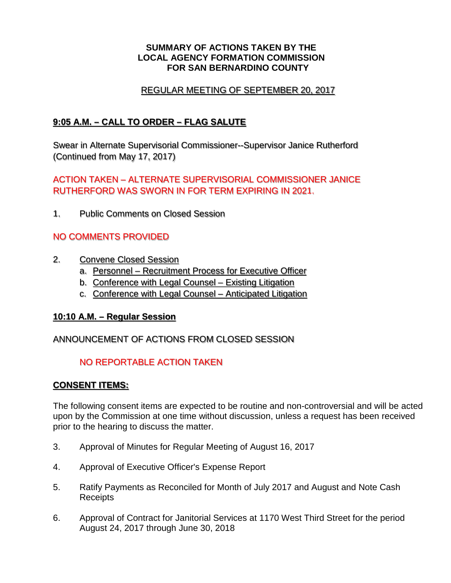#### **SUMMARY OF ACTIONS TAKEN BY THE LOCAL AGENCY FORMATION COMMISSION FOR SAN BERNARDINO COUNTY**

### REGULAR MEETING OF SEPTEMBER 20, 2017

## **9:05 A.M. – CALL TO ORDER – FLAG SALUTE**

Swear in Alternate Supervisorial Commissioner--Supervisor Janice Rutherford (Continued from May 17, 2017)

## ACTION TAKEN – ALTERNATE SUPERVISORIAL COMMISSIONER JANICE RUTHERFORD WAS SWORN IN FOR TERM EXPIRING IN 2021.

1. Public Comments on Closed Session

## NO COMMENTS PROVIDED

- 2. Convene Closed Session
	- a. Personnel Recruitment Process for Executive Officer
	- b. Conference with Legal Counsel Existing Litigation
	- c. Conference with Legal Counsel Anticipated Litigation

### **10:10 A.M. – Regular Session**

### ANNOUNCEMENT OF ACTIONS FROM CLOSED SESSION

## NO REPORTABLE ACTION TAKEN

### **CONSENT ITEMS:**

The following consent items are expected to be routine and non-controversial and will be acted upon by the Commission at one time without discussion, unless a request has been received prior to the hearing to discuss the matter.

- 3. Approval of Minutes for Regular Meeting of August 16, 2017
- 4. Approval of Executive Officer's Expense Report
- 5. Ratify Payments as Reconciled for Month of July 2017 and August and Note Cash **Receipts**
- 6. Approval of Contract for Janitorial Services at 1170 West Third Street for the period August 24, 2017 through June 30, 2018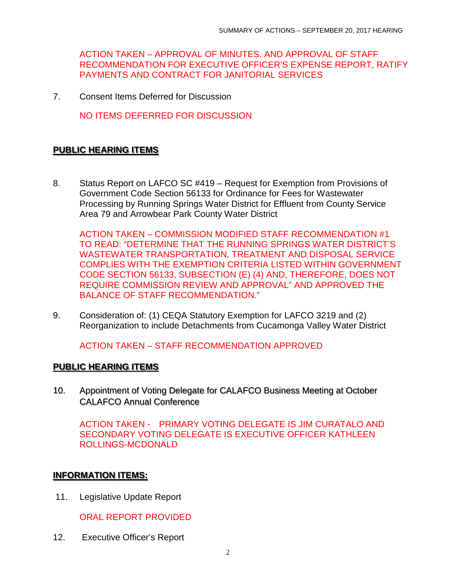ACTION TAKEN – APPROVAL OF MINUTES, AND APPROVAL OF STAFF RECOMMENDATION FOR EXECUTIVE OFFICER'S EXPENSE REPORT, RATIFY PAYMENTS AND CONTRACT FOR JANITORIAL SERVICES

7. Consent Items Deferred for Discussion

NO ITEMS DEFERRED FOR DISCUSSION

# **PUBLIC HEARING ITEMS**

8. Status Report on LAFCO SC #419 – Request for Exemption from Provisions of Government Code Section 56133 for Ordinance for Fees for Wastewater Processing by Running Springs Water District for Effluent from County Service Area 79 and Arrowbear Park County Water District

ACTION TAKEN – COMMISSION MODIFIED STAFF RECOMMENDATION #1 TO READ: "DETERMINE THAT THE RUNNING SPRINGS WATER DISTRICT'S WASTEWATER TRANSPORTATION, TREATMENT AND DISPOSAL SERVICE COMPLIES WITH THE EXEMPTION CRITERIA LISTED WITHIN GOVERNMENT CODE SECTION 56133, SUBSECTION (E) (4) AND, THEREFORE, DOES NOT REQUIRE COMMISSION REVIEW AND APPROVAL" AND APPROVED THE BALANCE OF STAFF RECOMMENDATION."

9. Consideration of: (1) CEQA Statutory Exemption for LAFCO 3219 and (2) Reorganization to include Detachments from Cucamonga Valley Water District

ACTION TAKEN – STAFF RECOMMENDATION APPROVED

### **PUBLIC HEARING ITEMS**

10. Appointment of Voting Delegate for CALAFCO Business Meeting at October CALAFCO Annual Conference

ACTION TAKEN - PRIMARY VOTING DELEGATE IS JIM CURATALO AND SECONDARY VOTING DELEGATE IS EXECUTIVE OFFICER KATHLEEN ROLLINGS-MCDONALD

### **INFORMATION ITEMS:**

11. Legislative Update Report

ORAL REPORT PROVIDED

12. Executive Officer's Report